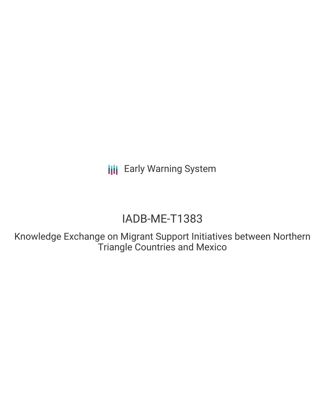**III** Early Warning System

# IADB-ME-T1383

Knowledge Exchange on Migrant Support Initiatives between Northern Triangle Countries and Mexico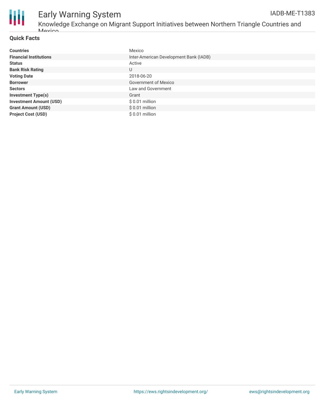

# Early Warning System

### **Quick Facts**

| <b>Countries</b>               | Mexico                                 |
|--------------------------------|----------------------------------------|
| <b>Financial Institutions</b>  | Inter-American Development Bank (IADB) |
| <b>Status</b>                  | Active                                 |
| <b>Bank Risk Rating</b>        | U                                      |
| <b>Voting Date</b>             | 2018-06-20                             |
| <b>Borrower</b>                | <b>Government of Mexico</b>            |
| <b>Sectors</b>                 | Law and Government                     |
| <b>Investment Type(s)</b>      | Grant                                  |
| <b>Investment Amount (USD)</b> | $$0.01$ million                        |
| <b>Grant Amount (USD)</b>      | $$0.01$ million                        |
| <b>Project Cost (USD)</b>      | \$ 0.01 million                        |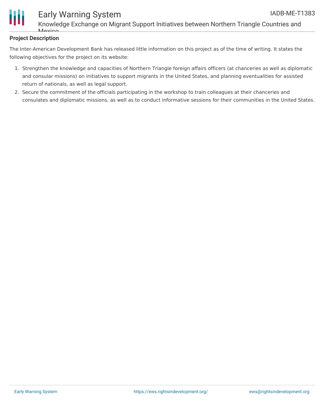

# Early Warning System

Knowledge Exchange on Migrant Support Initiatives between Northern Triangle Countries and  $M_{\odot}$ 

## **Project Description**

The Inter-American Development Bank has released little information on this project as of the time of writing. It states the following objectives for the project on its website:

- 1. Strengthen the knowledge and capacities of Northern Triangle foreign affairs officers (at chanceries as well as diplomatic and consular missions) on initiatives to support migrants in the United States, and planning eventualities for assisted return of nationals, as well as legal support.
- 2. Secure the commitment of the officials participating in the workshop to train colleagues at their chanceries and consulates and diplomatic missions, as well as to conduct informative sessions for their communities in the United States.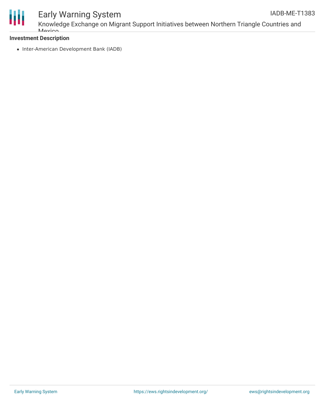

Knowledge Exchange on Migrant Support Initiatives between Northern Triangle Countries and **Mavion** 

## **Investment Description**

• Inter-American Development Bank (IADB)